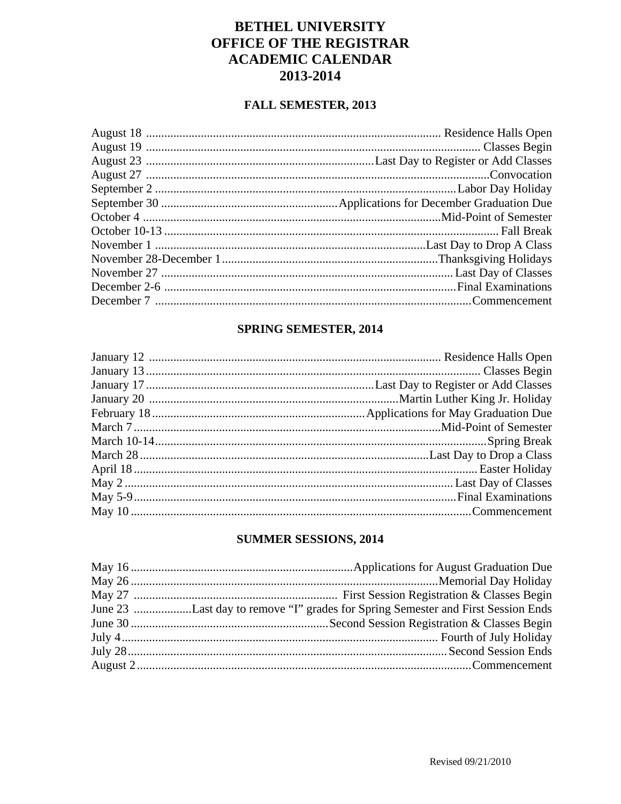## **BETHEL UNIVERSITY** OFFICE OF THE REGISTRAR **ACADEMIC CALENDAR** 2013-2014

#### **FALL SEMESTER, 2013**

#### SPRING SEMESTER, 2014

#### SUMMER SESSIONS, 2014

| June 23 Last day to remove "I" grades for Spring Semester and First Session Ends |
|----------------------------------------------------------------------------------|
|                                                                                  |
|                                                                                  |
|                                                                                  |
|                                                                                  |
|                                                                                  |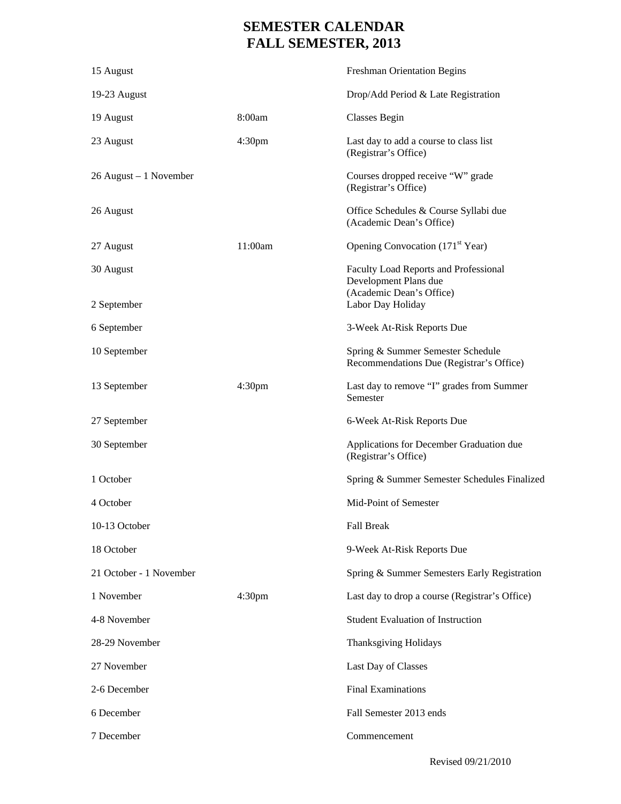# **SEMESTER CALENDAR FALL SEMESTER, 2013**

| 15 August               |                    | <b>Freshman Orientation Begins</b>                                                         |
|-------------------------|--------------------|--------------------------------------------------------------------------------------------|
| 19-23 August            |                    | Drop/Add Period & Late Registration                                                        |
| 19 August               | 8:00am             | <b>Classes Begin</b>                                                                       |
| 23 August               | 4:30 <sub>pm</sub> | Last day to add a course to class list<br>(Registrar's Office)                             |
| 26 August – 1 November  |                    | Courses dropped receive "W" grade<br>(Registrar's Office)                                  |
| 26 August               |                    | Office Schedules & Course Syllabi due<br>(Academic Dean's Office)                          |
| 27 August               | 11:00am            | Opening Convocation (171 <sup>st</sup> Year)                                               |
| 30 August               |                    | Faculty Load Reports and Professional<br>Development Plans due<br>(Academic Dean's Office) |
| 2 September             |                    | Labor Day Holiday                                                                          |
| 6 September             |                    | 3-Week At-Risk Reports Due                                                                 |
| 10 September            |                    | Spring & Summer Semester Schedule<br>Recommendations Due (Registrar's Office)              |
| 13 September            | 4:30 <sub>pm</sub> | Last day to remove "I" grades from Summer<br>Semester                                      |
| 27 September            |                    | 6-Week At-Risk Reports Due                                                                 |
| 30 September            |                    | Applications for December Graduation due<br>(Registrar's Office)                           |
| 1 October               |                    | Spring & Summer Semester Schedules Finalized                                               |
| 4 October               |                    | Mid-Point of Semester                                                                      |
| 10-13 October           |                    | <b>Fall Break</b>                                                                          |
| 18 October              |                    | 9-Week At-Risk Reports Due                                                                 |
| 21 October - 1 November |                    | Spring & Summer Semesters Early Registration                                               |
| 1 November              | 4:30 <sub>pm</sub> | Last day to drop a course (Registrar's Office)                                             |
| 4-8 November            |                    | <b>Student Evaluation of Instruction</b>                                                   |
| 28-29 November          |                    | Thanksgiving Holidays                                                                      |
| 27 November             |                    | Last Day of Classes                                                                        |
| 2-6 December            |                    | <b>Final Examinations</b>                                                                  |
| 6 December              |                    | Fall Semester 2013 ends                                                                    |
| 7 December              |                    | Commencement                                                                               |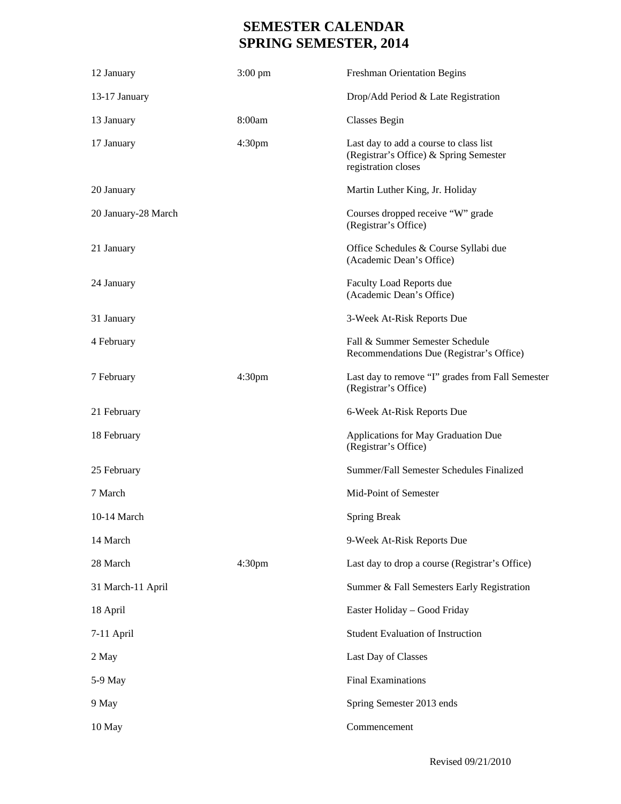# **SEMESTER CALENDAR SPRING SEMESTER, 2014**

| 12 January          | $3:00 \text{ pm}$  | <b>Freshman Orientation Begins</b>                                                                      |
|---------------------|--------------------|---------------------------------------------------------------------------------------------------------|
| 13-17 January       |                    | Drop/Add Period & Late Registration                                                                     |
| 13 January          | 8:00am             | <b>Classes Begin</b>                                                                                    |
| 17 January          | 4:30 <sub>pm</sub> | Last day to add a course to class list<br>(Registrar's Office) & Spring Semester<br>registration closes |
| 20 January          |                    | Martin Luther King, Jr. Holiday                                                                         |
| 20 January-28 March |                    | Courses dropped receive "W" grade<br>(Registrar's Office)                                               |
| 21 January          |                    | Office Schedules & Course Syllabi due<br>(Academic Dean's Office)                                       |
| 24 January          |                    | Faculty Load Reports due<br>(Academic Dean's Office)                                                    |
| 31 January          |                    | 3-Week At-Risk Reports Due                                                                              |
| 4 February          |                    | Fall & Summer Semester Schedule<br>Recommendations Due (Registrar's Office)                             |
| 7 February          | 4:30 <sub>pm</sub> | Last day to remove "I" grades from Fall Semester<br>(Registrar's Office)                                |
| 21 February         |                    | 6-Week At-Risk Reports Due                                                                              |
| 18 February         |                    | Applications for May Graduation Due<br>(Registrar's Office)                                             |
| 25 February         |                    | Summer/Fall Semester Schedules Finalized                                                                |
| 7 March             |                    | Mid-Point of Semester                                                                                   |
| $10-14$ March       |                    | <b>Spring Break</b>                                                                                     |
| 14 March            |                    | 9-Week At-Risk Reports Due                                                                              |
| 28 March            | 4:30 <sub>pm</sub> | Last day to drop a course (Registrar's Office)                                                          |
| 31 March-11 April   |                    | Summer & Fall Semesters Early Registration                                                              |
| 18 April            |                    | Easter Holiday - Good Friday                                                                            |
| 7-11 April          |                    | <b>Student Evaluation of Instruction</b>                                                                |
| 2 May               |                    | Last Day of Classes                                                                                     |
| 5-9 May             |                    | <b>Final Examinations</b>                                                                               |
| 9 May               |                    | Spring Semester 2013 ends                                                                               |
| 10 May              |                    | Commencement                                                                                            |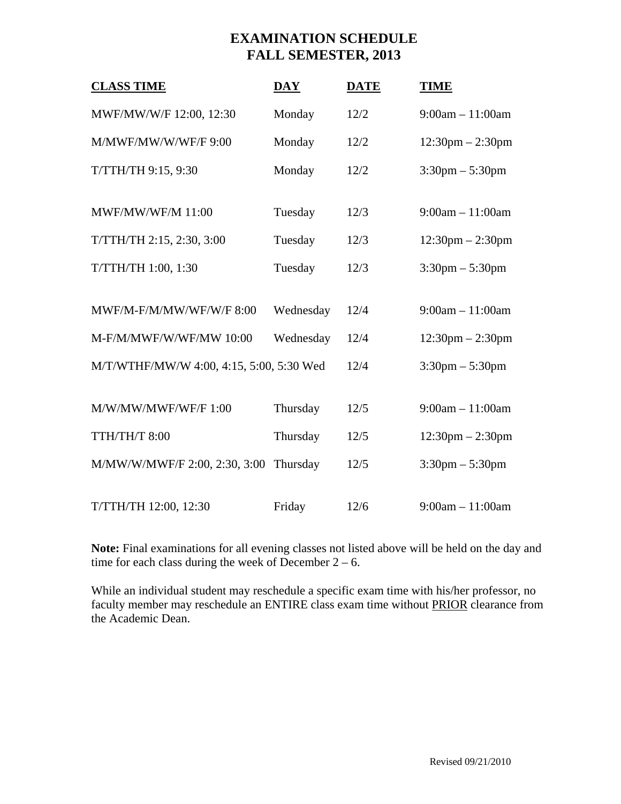### **EXAMINATION SCHEDULE FALL SEMESTER, 2013**

| <b>CLASS TIME</b>                        | $\overline{\text{DAY}}$ | <b>DATE</b> | <b>TIME</b>                        |
|------------------------------------------|-------------------------|-------------|------------------------------------|
| MWF/MW/W/F 12:00, 12:30                  | Monday                  | 12/2        | $9:00am - 11:00am$                 |
| M/MWF/MW/W/WF/F 9:00                     | Monday                  | 12/2        | $12:30 \text{pm} - 2:30 \text{pm}$ |
| T/TTH/TH 9:15, 9:30                      | Monday                  | 12/2        | $3:30 \text{pm} - 5:30 \text{pm}$  |
|                                          |                         |             |                                    |
| <b>MWF/MW/WF/M 11:00</b>                 | Tuesday                 | 12/3        | $9:00am - 11:00am$                 |
| T/TTH/TH 2:15, 2:30, 3:00                | Tuesday                 | 12/3        | $12:30 \text{pm} - 2:30 \text{pm}$ |
| T/TTH/TH 1:00, 1:30                      | Tuesday                 | 12/3        | $3:30 \text{pm} - 5:30 \text{pm}$  |
|                                          |                         |             |                                    |
| MWF/M-F/M/MW/WF/W/F 8:00                 | Wednesday               | 12/4        | $9:00am - 11:00am$                 |
| M-F/M/MWF/W/WF/MW 10:00                  | Wednesday               | 12/4        | $12:30 \text{pm} - 2:30 \text{pm}$ |
| M/T/WTHF/MW/W 4:00, 4:15, 5:00, 5:30 Wed |                         | 12/4        | $3:30 \text{pm} - 5:30 \text{pm}$  |
|                                          |                         |             |                                    |
| M/W/MW/MWF/WF/F 1:00                     | Thursday                | 12/5        | $9:00am - 11:00am$                 |
| TTH/TH/T 8:00                            | Thursday                | 12/5        | $12:30$ pm $- 2:30$ pm             |
| M/MW/W/MWF/F 2:00, 2:30, 3:00            | Thursday                | 12/5        | $3:30 \text{pm} - 5:30 \text{pm}$  |
|                                          |                         |             |                                    |
| T/TTH/TH 12:00, 12:30                    | Friday                  | 12/6        | $9:00am - 11:00am$                 |

**Note:** Final examinations for all evening classes not listed above will be held on the day and time for each class during the week of December  $2 - 6$ .

While an individual student may reschedule a specific exam time with his/her professor, no faculty member may reschedule an ENTIRE class exam time without PRIOR clearance from the Academic Dean.